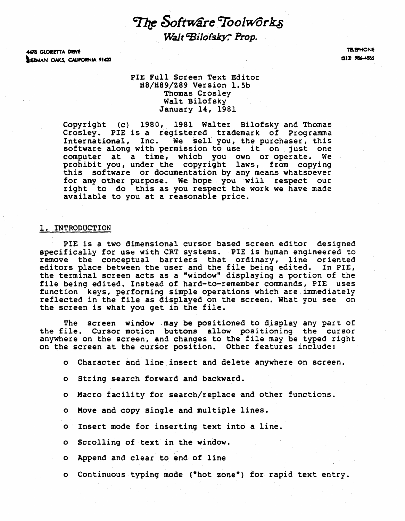$~{\it The~Softw$ are Toolw $~{\it or}$ k $s$  . Walt Bilofsky; Prop.

4478 GLORETTA DRIVE BIERMAN OAKS, CAUFORNIA 91423

**TELEPHONE** f2131 986-4885

# PIE Full Screen Text Editor<br>
H8/H89/Z89 Version 1.5b Thomas Crosley Walt Bilofsky January 14, 1981

Copyright (c) 1980, 1981 Walter Bilofsky and Thomas Crosley. PIE is a registered trademark of Programma International, Inc. We sell you, the purchaser, this software along with permission to use it on just one computer at a time, which you own or operate. We prohibit you, under the copyright laws, from copying this software or documentation by any means whatsoever for any other purpose. We hope. you will respect our right to do this as you respect the work we have made available to you at a reasonable price.

## 1. INTRODUCTION

PIE is a two dimensional cursor based screen editor designed specifically for use with CRT systems. PIE is human engineered to remove the conceptual barriers that ordinary, line oriented editors place between the user and the file being edited. In PIE, the terminal screen acts as a "window" displaying a portion of the file being edited. Instead of hard-to-remember commands, PIE uses function keys, performing simple operations which are.immediately reflected in the file as displayed on the screen. What you see on the screen is what you get in the file.

The screen window may be positioned to display any part of the file. Cursor motion buttons allow positioning the cursor anywhere on the screen, and changes to the file may be typed right on the screen at the cursor position. Other features include:

- o Character and line insert and delete anywhere on screen.
- o String search forward and backward.
- o Macro facility for search/replace and other functions.
- o Move and copy single and multiple lines.
- o Insert mode for inserting text into a line.
- o Scrolling of ·text in the window.
- o Append and clear to end of line
- o Continuous typing mode (Whot zone") for rapid text entry.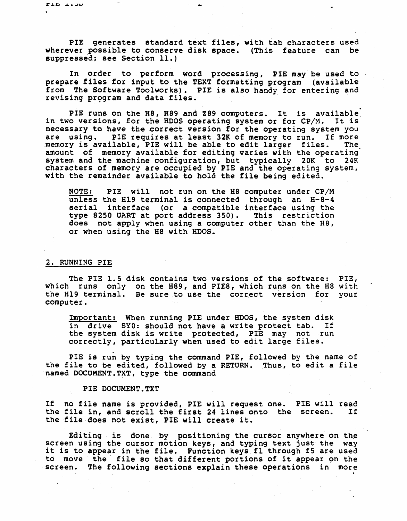PIE generates standard text files, with tab characters used wherever possible to conserve disk space. (This feature can be suppressed; see Section 11.)

..

In order to perform word processing, PIE may be used to prepare files for input to the TEXT formatting program (available from The Software To01works). PIE is also handy for entering and revising program and data files.

PIE runs on the H8, H89 and Z89 computers. It is available<br>o versions, for the HDOS operating system or for CP/M. It is in two versions, for the HDOS operating system or for CP/M. necessary to have the correct version for the operating system you<br>are using. PIE requires at least 32K of memory to run. If more PIE requires at least 32K of memory to run. If more<br>ilable, PIE will be able to edit larger files. The memory is available, PIE will be able to edit larger files. amount of memory available for editing varies with the operating system and the machine configuration, but typically 20K to 24K characters of memory are occupied by PIE and the operating system, with the remainder available to hold the file being edited. ..

NOTE: PIE will not run on the H8 computer under CP/M unless the Bl9 terminal is connected through an H-S-4 antess the mis cerminar is connected emrodyn and in the same serial interface (or a compatible interface using the type 8250 UART at port address 350). This restriction does not apply when using a computer other than the HS, or when using the H8 with HDOS.

# 2. RUNNING PIE

The PIE 1.5 disk contains two versions of the software: PIE, which runs only on the H89, and PIE8, which runs on the H8 with the H19 terminal. Be sure to use the correct version for your computer.

Important: When running PIE under HDOS, the system disk in drive SYO: should not have a write protect tab. If the system disk is write protected, PIE may not run correctly, particularly when used to edit large files.

PIE is run by typing the command PIE, followed by the name of the file to be edited, followed by a RETURN. Thus, to edit a file named DOCUMENT.TXT, type the command

#### PIE DOCUMENT.TXT

If no file name is provided, PIE will request one. PIE will read the file in, and scroll the first  $24$  lines onto the screen. the file does not exist, PIE will create it.

Editing is done by positioning the cursor anywhere on the screen using the cursor motion keys, and typing text just the way it is to appear in the file. Function keys fl through f5 are used to move the file so that different portions of it appear on the screen. The following sections explain these operations in more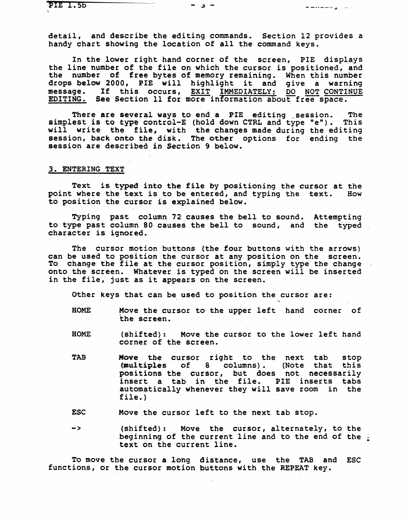In the lower right hand corner of the screen, PIE displays the line number of the file on which the cursor is positioned, and the number of free bytes of memory remaining. When this number drops below 2000, PIE will highlight it and give a warning<br>drops below 2000, PIE will highlight it and give a warning message. If this occurs, EXIT IMMEDIATELY; DO NOT CONTINUE EDITING. See Section 11 for more information about free space.

There are several ways to end a PIE editing session. The simplest is to type control-E (hold down CTRL and type "e"). This will write the file, with the changes made during the editing session, back onto the disk. The other options for ending the session are described in Section 9 below.

# 3. ENTERING TEXT

Text is typed, into the file by positioning the cursor at the point where the text is to be entered, and typing the text. How to position the cursor is explained below.

Typing past column 72 causes the bell to sound. Attempting to type past column 80 causes the bell to sound, and the typed character is ignored.

The cursor motion buttons (the four buttons with the arrows) can be used to position the cursor at any position on the screen. To change the file at the cursor position, simply type the change onto the screen. Whatever is typed on the screen will be inserted in the file, just as it appears on the screen.

Other keys that can be used to position the cursor are:

- HOME Move the cursor to the upper left hand corner of tbe screen.
- HOME (shifted): Move the cursor to the lower left hand corner of the screen.
- TAB Move the cursor right to the next tab stop (multiples of 8 columns). (Note that this positions the cursor, but does not necessarily insert a tab in the file. PIE inserts tabs automatically whenever they will save room in the file. )

ESC Move the cursor left to the next tab stop.

 $\rightarrow$ (shifted): Move the cursor, alternately, to the beginning of the current line and to the end of the  $\cdot$ text on the current line.

To move the cursor a long distance, use the TAB and ESC functions, or the cursor motion buttons with the REPEAT key.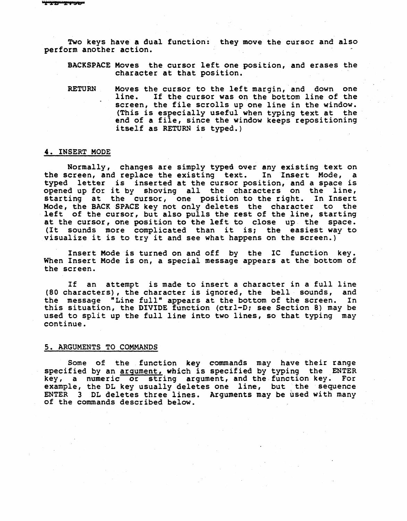Two keys have a dual function: they move the cursor and also perform another action.

BACKSPACE Moves the cursor left one position, and erases the character at that position.

RETURN Moves the cursor to the left margin, and down one<br>line. If the cursor was on the bottom line of the If the cursor was on the bottom line of the screen, the file scrolls up one line in the window. (This is especially useful when typing text at the end of a file, since the window keeps repositioning itself as RETURN is typed.)

# 4. INSERT MODE

Normally, changes are simply typed over any existing text on the screen, and replace the existing text. In Insert Mode, a typed letter is inserted at the cursor position, and a space is opened up for it by shoving all the characters on the line, starting at the cursor, one position to the right. In Insert Mode, the BACK SPACE key not only deletes the character to the left of the cursor, but also pulls the rest of the line, starting at the cursor, one position to the left to close up the space. (It sounds more complicated than it is; the easiest way to visualize it is to try it and see what happens on the screen.)

Insert Mode is turned on and off by the IC function key. When Insert Mode is on, a special message appears at the bottom of the screen.

If an attempt is made to insert a character in a full line<br>haracters), the character is ignored, the bell sounds, and (80 characters), the character is ignored, the bell sounds, and the message "Line full" appears at the bottom of the screen. In the message "Line full" appears at the bottom of the screen. this situation, the DIVIDE function (ctrl-D; see Section 8) may be used to split up the full line into two lines, so that typing may continue.

# s. ARGUMENTS TO COMMANDS

Some of the function key commands may have their range specified by an argument, which is specified by typing the ENTER key, a numeric or string argument, and the, function key. For example, the DL key usually deletes one line, but the sequence ENTER 3 DL deletes three lines. Arguments may be used with many of the commands described below.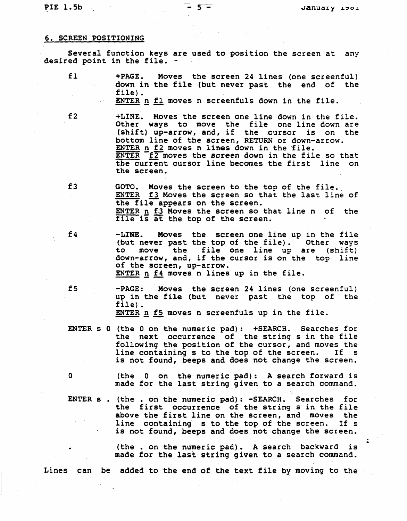PIE 1.5b - 5 -

#### 6. SCREEN POSITIONING

Several function keys are used to position the screen at any desired point in the file. -

- fl +PAGE. Moves the screen 24 lines (one screenful) down in the file (but never past the end of the file). . ENTER n fl moves n screenfuls down in the file.
- 

f2 +LINE. Moves the screen one line down in the file. Other ways to move the file one line down are (shift) up-arrow, and, if the cursor is on the bottom line of the screen, RETURN or down-arrow. ENTER n f2 moves n lines down in the file.  $ENTER$   $f2$  moves the screen down in the file so that the current cursor line becomes the first line on the screen.

f3 GOTO. Moves the screen to the top of the file.<br>ENTER f3 Moves the screen so that the last line of the file appears on the screen. ENTER n f3 Moves the screen so that line n of the file is at the top of the screen.

f4 -LINE. Moves the screen one line up in the file (but never past the top of the file). Other ways<br>to move the file one line up are (shift) file one line up are (shift) down-arrow, and, if the cursor is on the top line of the screen, up-arrow. ENTER n f4 moves n lines up in the file.

fs -PAGE: Moves the screen 24 lines (one screenful) up in the file (but never past the top of the file) • ENTER  $p$  f5 moves  $n$  screenfuls up in the file.

ENTER s 0 (the 0 on the numeric pad): +SEARCH. Searches for the next occurrence of the string s in the file following the position of the cursor, and moves the line containing s to the top of the screen. If s line containing s to the top of the screen. If s is not found, beeps and does not change the screen.

o (the 0 on the" numeric pad): A search forward is made for the last string given to a search command.

ENTER s . (the . on the numeric pad): -SEARCH. Searches for the first occurrence of the string s in the file above the first line on the screen, and moves the<br>line containing s to the top of the screen. If s line containing s to the top of the screen. is not found, beeps and does not change the screen.

> (the. on the numeric pad). A search backward is made for the last string given to a search command.

Lines can be added to the end of the text file by moving to the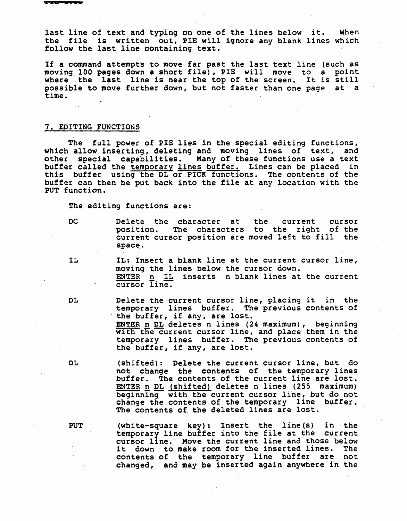last line of text and typing on one of the lines below it. When the file is written out, PIE will ignore any blank lines which follow the last line containing text.'

If a command attempts to move far past the last text line (such as moving 100 pages down a short file), PIE will move to a point where the last line is near the top of the screen. It is still possible to move further down, but not faster than one page at a time.

# 7. EDITING FUNCTIONS

The full power of PIE lies in the special editing functions, which allow inserting, deleting and moving lines of text, and other special capabilities. Many of these functions use a text buffer called the temporary lines buffer. Lines can be placed in this buffer using the DL or PICK functions. The contents of the buffer can then be put back into the file at any location with the PUT function.

The editing functions are:

DC 0 Delete the character at the current cursor position. The characters to the right of the current cursor position are moved left to fill the space.

- IL: Insert a blank line at the current cursor line, moving the lines below the cursor down. ENTER n IL inserts n blank lines at the current cursor Iine.
- 

DL Delete the current cursor line, placing it in the temporary lines buffer. The previous contents of the buffer, if any, are lost.<br>ENTER n DL deletes n lines (24 maximum), beginning with the current cursor line, and place them in the temporary lines buffer. The previous contents of the buffer, if any, are lost.

DL (shifted): Delete the current cursor line, but do not change, the contents of the temporary lines buffer. The contents of the current line are lost. ENTER n DL (shifted) deletes n lines (255 maximum) beginning with the current cursor line, but do not change the contents of the temporary line buffer. The contents of the deleted lines are lost.

PUT (white-square key): Insert the line(s) in the temporary line buffer into the file at the current cursor line. Move the current line and those below it down to make room for the inserted lines. The contents of the temporary line buffer 'are not changed, and maybe inserted again anywhere in the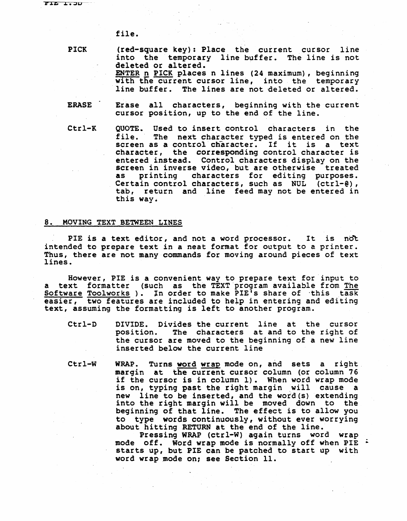file.

PICK

(red-square key): Place the current cursor line into the temporary line buffer. The line is not deleted or altered. ENTER n PICK places n lines (24 maximum), beginning with the current cursor line, into the temporary line buffer. The lines are not deleted or altered.

- ERASE Erase all characters, beginning with the current cursor position, up to the end of the line.
- Ctrl-K QUOTE. Used to insert control characters in the file. The next character typed is entered on the screen as a control character. If it is a text character, the corresponding control character is entered instead. Control characters display on the screen in inverse video, but are otherwise treated<br>as printing characters for editing purposes. as printing characters for editing purposes. Certain control characters, such as NUL (ctrl-@), tab, return and line feed may not be entered in this way.

## 8. MOVING TEXT BETWEEN LINES

PIE is a text editor, and not a word processor. It is not intended to prepare text in a neat format for output to a printer. Thus, there are not many commands for moving around pieces of text lines.

However, PIE is a convenient way to prepare text for input to a text formatter (such as the TEXT program available from The software Toolworks). In order to make PIE's share of this task easier, two features are included to help in entering and editing text, assuming the formatting is left to another program.

- Ctrl-D DIVIDE. Divides the current line at the cursor pOSition. The characters at and to the right of the cursor are moved to the beginning of a new line inserted below the current line
- Ctrl-W WRAP. Turns word wrap mode on, and sets a right. margin at the current cursor column (or column 76 if the cursor is in column 1). When word wrap mode is on, typing past the right margin will cause a new line to be inserted, and the word(s) extending into the right margin will be moved down to the beginning of that line. The effect is to allow you to type words continuously, without ever worrying about hitting RETURN at the end of the line.

Pressing WRAP (ctrl-W) again turns word wrap mode off. Word wrap mode is normally off when PIE  $\cdot$ starts up, but PIE can be patched to start up with word wrap mode on; see Section 11.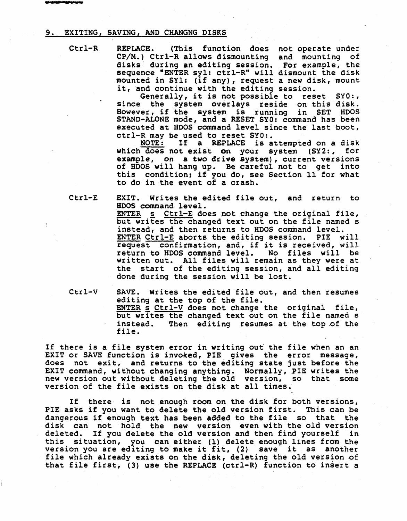# 9. EXITING, SAVING, AND CHANGNG DISKS

Ctrl-R

REPLACE. (This function does not operate under CP/M.) Ctrl-R allows dismounting and mounting of disks during an editing session. For example, the sequence "ENTER syl: ctrl-R" will dismount the disk mounted in SYl: (if any), request a new disk, mount it, and continue with the editing session.

Generally, it is not possible to reset SYO:, since the system overlays reside on this disk. However, if the system overlays reside on this disk: STAND-ALONE mode, and a RESET SYO: command has been executed at HDOS command level since the last boot, ctrl-R may be used to reset SYO:.

If a REPLACE is attempted on a disk which does not exist on your system (SY2:, for example, on a two drive system), current versions of BOOS will hang up. Be careful not to get into this condition; if you do, see Section 11 for what to do in the event of a crash. '

Ctrl-E

EXIT. Writes the edited file out, and return to .BDOS command level.

ENTER s Ctrl-E does not change the original file, but writes the changed text out on the file named s instead, and then returns to HOOS command level. ENTER Ctrl-E aborts the editing session. PIE will request confirmation, and, if it is received, will return to BOOS command level. No files will be written out. All files will remain as they were at the start of the editing session, and all editing done during the session will be lost.

Ctrl-V

SAVE. Writes the edited file out, and then resumes editing at the top of the file. ENTER  $\leq$  Ctrl-V does not change the original file, but writes the changed text out on the file named s<br>instead. Then editing resumes at the top of the Then editing resumes at the top of the file.

If there is a file system error in writing out the file when an an EXIT or SAVE function is invoked, PIE gives the error message, does not exit, and returns to the editing state just before the EXIT command, without changing anything. Normally, PIE writes the new version out without deleting the old version, so that some version of the file exists on the disk at all times.

If there is not enough room on the disk for both versions, PIE asks if you want to delete the old version first. This can be dangerous if enough text has been added to the file so that the disk can not hold the new version even with the old version deleted. If you delete the old version and then find yourself in this situation, you can either (1) delete enough lines from the version you are editing to make it fit, (2) save it as another file which already exists on the disk, deleting the old version of that file first, (3) use the REPLACE (ctrl-R) function to insert a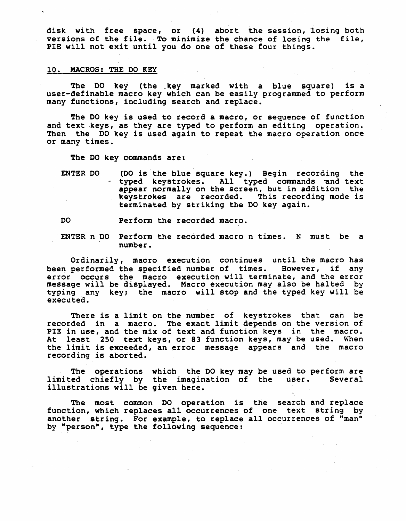disk with free space, or (4) abort the session, 10sing both versions of the file. To minimize the chance of losing the file, PIE will not exit until you do one of these four things.

# 10. MACROS: THE DO KEY

The DO key (the\_key marked with a blue square) is a user-definable macro key which can be easily programmed to perform many functions, including search and replace.

The 00 key is used to record a macro, or sequence of function and text keys, as they are typed to perform an editing operation. Then the DO key is used again to repeat the macro operation once or many times.

The DO key commands are:

ENTER DO (DO is the blue square key.) Begin recording the - typed keystrokes. All typed commands and text appear normally on the screen, but in addition the keystrokes are recorded. This recording mode is terminated by striking the DO key again.

DO Perform the recorded macro.

ENTER n DO Perform the recorded macro n times. N must be a number.

Ordinarily, macro execution continues until the macro has been performed the specified number of times. However, if any error occurs the macro execution will terminate, and the error message will be displayed. Macro execution may also be halted by typing any key; the macro will stop and the typed key will be executed.

There is a limit on the number of keystrokes that can be recorded in a macro. The exact limit depends on the version of PIE in use, and the mix of text and function keys in the macro. At least 250 text keys, or 83 function keys, may be used. When the limit is exceeded, an error message appears and the macro recording is aborted.

The operations which the DO key may be used to perform are limited chiefly by the imagination of the user. Several illustrations will be given here.

The most common DO operation is the search and replace function, which replaces all occurrences of one text string by another string. For example, to replace all occurrences of "man" by "person", type the following sequence: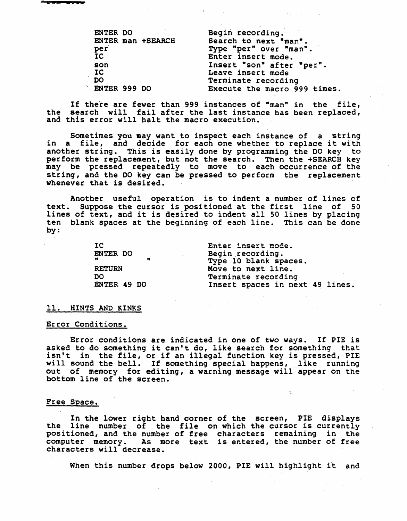| ENTER DO     |                   | Begin recording.             |
|--------------|-------------------|------------------------------|
|              | ENTER man +SEARCH | Search to next "man".        |
| per          |                   | Type "per" over "man".       |
| <b>IC</b>    |                   | Enter insert mode.           |
| son          |                   | Insert "son" after "per".    |
| IC           |                   | Leave insert mode            |
| DO           |                   | Terminate recording          |
| ENTER 999 DO |                   | Execute the macro 999 times. |

If there are fewer than 999 instances of "man" in the file, the search will £ail after the last instance has been replaced, and this error will halt the macro execution.

Sometimes you may want to inspect each instance of a string in a file, and decide for each one whether to replace it with another string. This is easily done by programming the DO key to perform the replacement, but not the search. Then the +SEARCH key may be pressed repeatedly to move to each occurrence of the string, and the DO key can be pressed to perform the replacement whenever that is desired.

Another useful operation is to indent a number of lines of<br>text. Suppose the cursor is positioned at the first line of 50 Suppose the cursor is positioned at the first line of 50 lines of text, and it is desired to indent all 50 lines by placing ten blank spaces at the beginning of each line. This can be done by:

> IC ENTER DO  $\mathbf{u}$  and  $\mathbf{u}$  and  $\mathbf{u}$ RETURN DO ENTER 49 DO

Enter insert mode.<br>Begin recording. Type 10 blank spaces. Move to next line. Terminate recording Insert spaces in next 49 lines.

#### 11. HINTS AND KINKS

# Error Conditions.

Error conditions are indicated in one of two ways. If PIE is asked to do something it can't do, like search for something that isn't in the file, or if an illegal function key is pressed, PIE will sound the bell. If something special happens, like running out of memory for editing, a warning message will appear on the bottom line of the screen.

## Free Space.

In the lower right hand corner of the screen, PIE displays the line number of the file on which the cursor is currently positioned, and the number of free characters remaining in the positioned, and the number of free characters remaining in the<br>computer memory. As more text is entered, the number of free characters will decrease.

When this number drops below 2000, PIE will highlight it and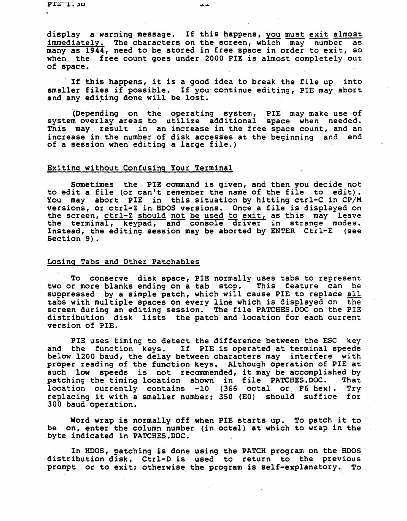display a warning message. If this happens, you must exit almost immediately. The characters on the screen, which may number as many as 1944, need to be stored in free space in order to exit, so when the free count goes under 2000 PIE is almost completely out of space.

If this happens, it is a good idea to break the file up into smaller files if possible. If you continue editing, PIE may abort and any editing done will be lost.

'(Depending on the operating system, PIE may make use of system overlay areas to utilize additional space when needed. This may result in an increase in the free space count, and an increase in the number of disk accesses at the beginning and end of a session when editing a large file.)

# Exiting without Confusing Your Terminal

Sometimes the PIE command is given, and then you decide not to edit a file (or can't remember the name of the file to edit). You may abort PIE in this situation by hitting ctrl-C in CP/M versions, or ctrl-Z in HDOS versions. Once a file is displayed on versions, or ctrl-Z in HDOS versions. Once a file is displayed on<br>the screen, <u>ctrl-Z should not be used to exit,</u> as this may leave the terminal, keypad, and console driver in strange modes. Instead, the editing session may be aborted by ENTER Ctrl-E (see Section 9).

# Losing Tabs and Other Patchables

To conserve disk space, PIE normally uses tabs to represent two or more blanks ending on a tab stop. This feature can be suppressed by a simple patch, which will cause PIE to replace all tabs with multiple spaces on every line which is, displayed on the screen during an editing session. The file PATCHES.DOC on the PIE distribution disk lists the patch and location for each current version of PIE.

PIE uses timing to detect the difference between the ESC key<br>and the function keys. If PIE is operated at terminal speeds below 1200 baud, the delay between characters may interfere with proper reading of the function keys. Although operation of PIE at such low speeds is not recommended, it may be accomplished by<br>patching the timing location shown in file PATCHES.DOC. That patching the timing location shown in file PATCHES. DOC. location currently contains -10 (366 octal or F6 hex). Try replacing it with a smaller number; 350 (EO) should suffice for 300 baud operation. '

Word wrap is normally off when PIE starts up. To patch it to be on, enter the column number (in octal) at which to wrap in the byte indicated in PATCHES.DOC.

In HDOS, patching is done using the PATCH program on the 'HDOS distribution disk. Ctrl-D is used to return to the previous prompt or to exit; otherwise the program is self-explanatory. To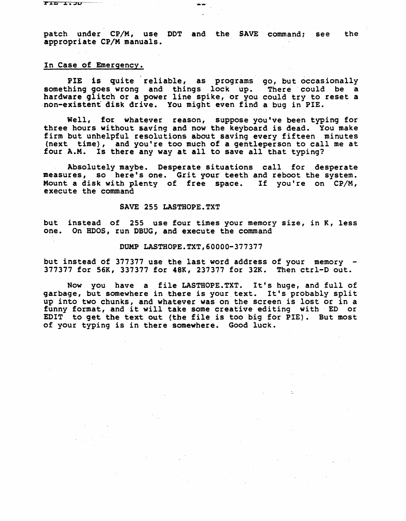... ...*..* 

patch under CP/M, use DDT and the SAVE command; see the appropriate CP/M manuals.

# In Case of Emergency.

PIE is quite reliable, as programs go, but occasionally something goes wrong and things lock up. There could be a bomething good wrong that things room the indice cours so a ·non-existent disk drive. You might even find a bug in PIE.

Well, fot whatever reason, suppose you've been typing for three hours without saving and now the keyboard is dead. You make firm but unhelpful resolutions about saving every fifteen minutes (next time), and you're too much of a gentleperson to call me at four A.M. Is there any way at all to save all that typing?

Absolutely maybe. Desperate situations call for desperate measures, so here's one. Grit your teeth and reboot the system. Mount a disk with plenty of free space. If you're on CP/M, execute the command

## SAVE 255 LASTBOPE.TXT

but instead of 255 use four times your memory size, in K, less one. On HOOS, run DBUG, and execute the command

### DUMP LASTHOPE.TXT,60000-377377

but instead of 377377 use the last word address of your memory  $-$ 377377 for 56K, 337377 for 48K, 237377 for 32K. Then ctrl-D out.

Now you have a file LASTHOPE.TXT. It's huge, and full of garbage, but somewhere in there is your text. It's probably split up into two chunks, and whatever was on the screen is lost or in a funny format, and it will take some creative editing with' ED or EDIT to get the text out (the file is too big for PIE). But most of your typing is in there somewhere. Good luck.